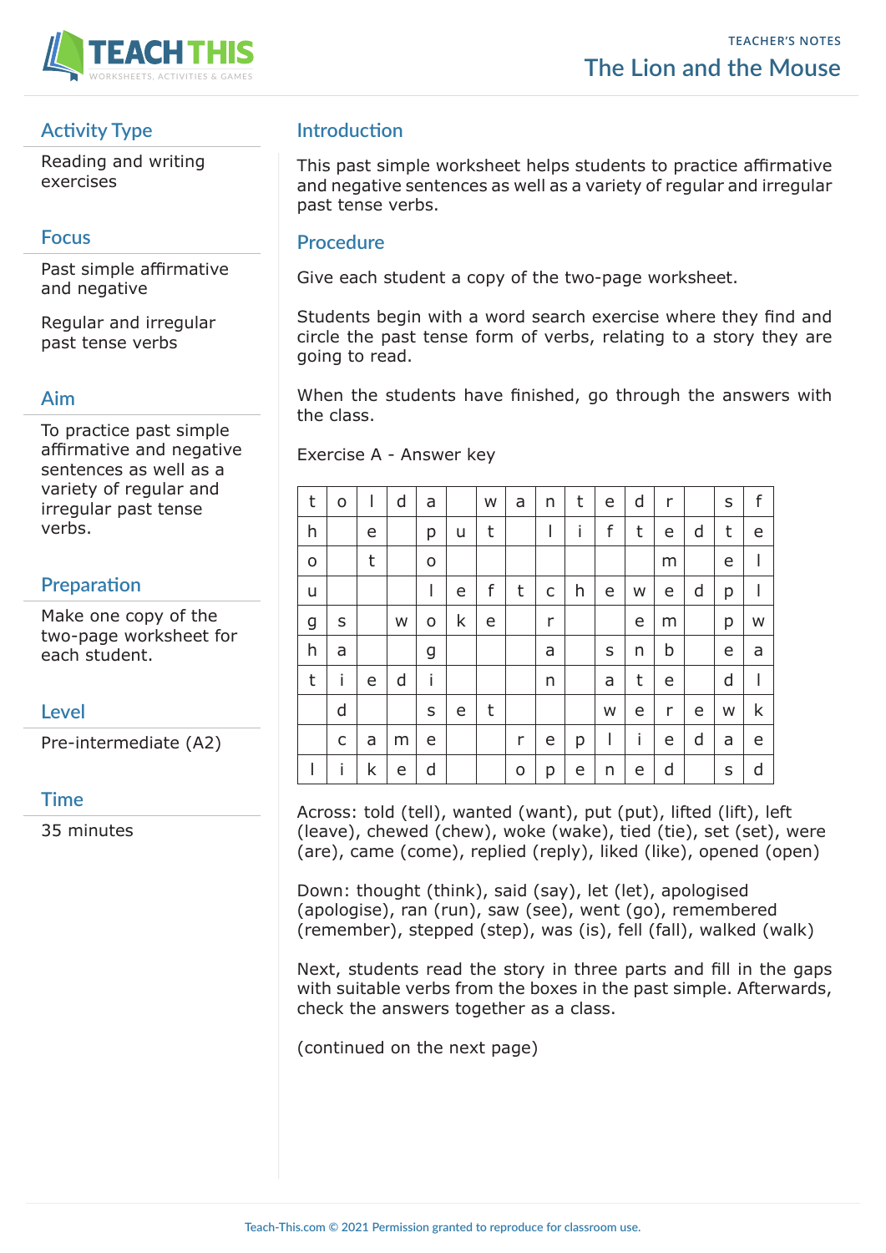

# **Activity Type**

Reading and writing exercises

## **Focus**

Past simple affirmative and negative

Regular and irregular past tense verbs

#### **Aim**

To practice past simple affirmative and negative sentences as well as a variety of regular and irregular past tense verbs.

# **Preparation**

Make one copy of the two-page worksheet for each student.

## **Level**

Pre-intermediate (A2)

## **Time**

35 minutes

# **Introduction**

This past simple worksheet helps students to practice affirmative and negative sentences as well as a variety of regular and irregular past tense verbs.

#### **Procedure**

Give each student a copy of the two-page worksheet.

Students begin with a word search exercise where they find and circle the past tense form of verbs, relating to a story they are going to read.

When the students have finished, go through the answers with the class.

Exercise A - Answer key

| t | o            | ı | d | a |   | W | a | n | t | e | d | r |   | S | f |
|---|--------------|---|---|---|---|---|---|---|---|---|---|---|---|---|---|
| h |              | e |   | р | u | t |   | I | i | f | t | e | d | t | e |
| O |              | t |   | o |   |   |   |   |   |   |   | m |   | e | I |
| u |              |   |   | I | e | f | t | C | h | e | W | e | d | p | I |
| g | S            |   | W | o | k | e |   | r |   |   | е | m |   | p | W |
| h | a            |   |   | g |   |   |   | a |   | S | n | b |   | e | a |
| t | i            | e | d | İ |   |   |   | n |   | a | t | e |   | d | I |
|   | d            |   |   | S | e | t |   |   |   | W | e | r | e | W | k |
|   | $\mathsf{C}$ | a | m | e |   |   | r | e | р | ш | İ | e | d | a | e |
| I | İ            | k | e | d |   |   | o | р | e | n | е | d |   | S | d |

Across: told (tell), wanted (want), put (put), lifted (lift), left (leave), chewed (chew), woke (wake), tied (tie), set (set), were (are), came (come), replied (reply), liked (like), opened (open)

Down: thought (think), said (say), let (let), apologised (apologise), ran (run), saw (see), went (go), remembered (remember), stepped (step), was (is), fell (fall), walked (walk)

Next, students read the story in three parts and fill in the gaps with suitable verbs from the boxes in the past simple. Afterwards, check the answers together as a class.

(continued on the next page)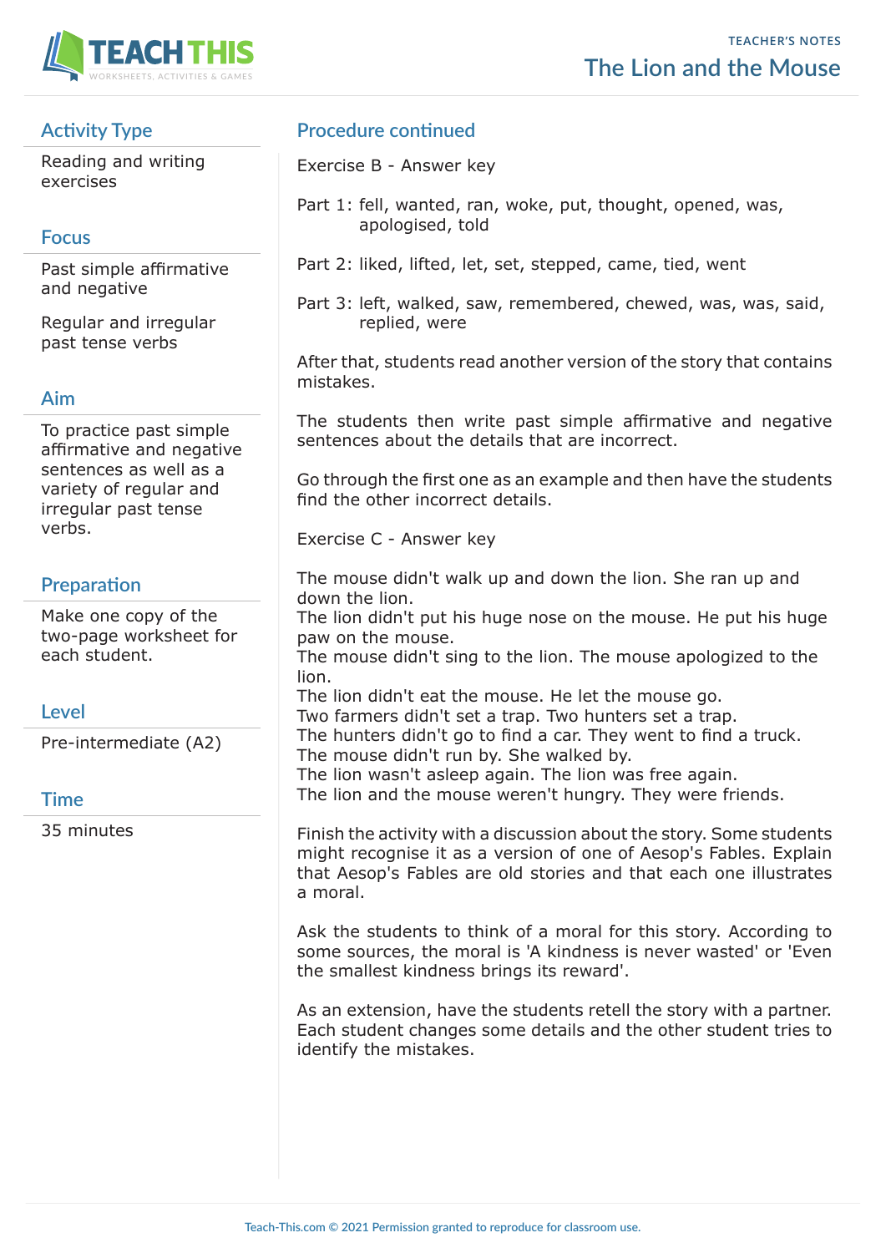

# **Activity Type**

Reading and writing exercises

# **Focus**

Past simple affirmative and negative

Regular and irregular past tense verbs

#### **Aim**

To practice past simple affirmative and negative sentences as well as a variety of regular and irregular past tense verbs.

# **Preparation**

Make one copy of the two-page worksheet for each student.

## **Level**

Pre-intermediate (A2)

## **Time**

35 minutes

# **Procedure continued**

Exercise B - Answer key

- Part 1: fell, wanted, ran, woke, put, thought, opened, was, apologised, told
- Part 2: liked, lifted, let, set, stepped, came, tied, went
- Part 3: left, walked, saw, remembered, chewed, was, was, said, replied, were

After that, students read another version of the story that contains mistakes.

The students then write past simple affirmative and negative sentences about the details that are incorrect.

Go through the first one as an example and then have the students find the other incorrect details.

Exercise C - Answer key

The mouse didn't walk up and down the lion. She ran up and down the lion.

The lion didn't put his huge nose on the mouse. He put his huge paw on the mouse.

The mouse didn't sing to the lion. The mouse apologized to the lion.

The lion didn't eat the mouse. He let the mouse go.

Two farmers didn't set a trap. Two hunters set a trap.

The hunters didn't go to find a car. They went to find a truck.

The mouse didn't run by. She walked by.

The lion wasn't asleep again. The lion was free again.

The lion and the mouse weren't hungry. They were friends.

Finish the activity with a discussion about the story. Some students might recognise it as a version of one of Aesop's Fables. Explain that Aesop's Fables are old stories and that each one illustrates a moral.

Ask the students to think of a moral for this story. According to some sources, the moral is 'A kindness is never wasted' or 'Even the smallest kindness brings its reward'.

As an extension, have the students retell the story with a partner. Each student changes some details and the other student tries to identify the mistakes.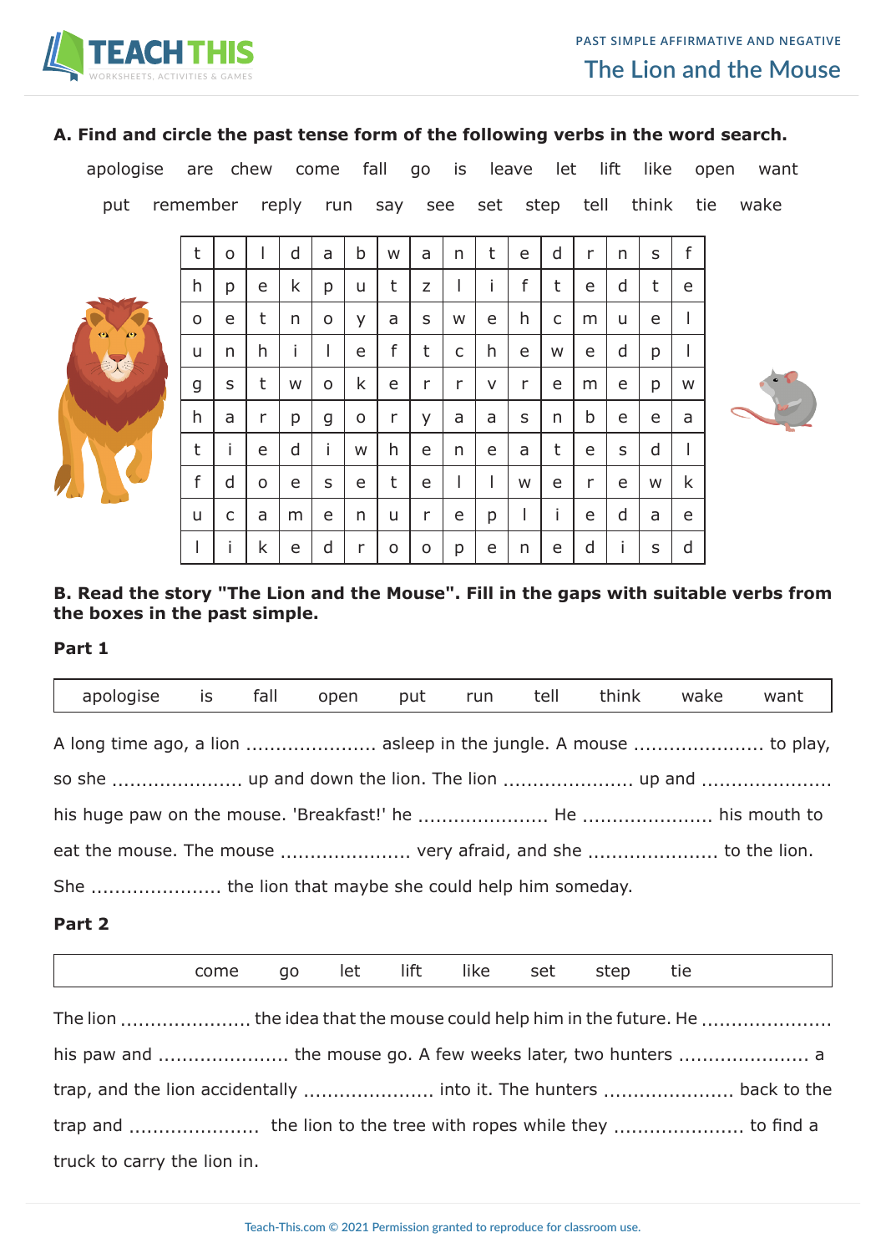

#### **A. Find and circle the past tense form of the following verbs in the word search.**

apologise are chew come fall go is leave let lift like open want

put remember reply run say see set step tell think tie wake



| t | o | I | d | a | b | W | a | n | t | e | d | r | n | S | f |
|---|---|---|---|---|---|---|---|---|---|---|---|---|---|---|---|
| h | р | e | k | р | u | t | Z | I | i | f | t | е | d | t | e |
| O | e | t | n | o | У | a | S | W | e | h | C | m | u | e |   |
| u | n | h | i | L | e | f | t | C | h | e | W | e | d | p |   |
| g | S | t | W | o | k | e | r | r | v | r | e | m | e | р | W |
| h | a | r | р | g | O | r | У | a | a | S | n | b | e | e | a |
| t | i | e | d | i | W | h | e | n | e | a | t | e | S | d |   |
| f | d | O | e | S | e | t | e | I | I | W | e | r | e | W | k |
| u | C | a | m | e | n | u | r | e | р |   | i | e | d | a | e |
|   | i | k | e | d | r | o | o | р | e | n | e | d | i | S | d |



### **B. Read the story "The Lion and the Mouse". Fill in the gaps with suitable verbs from the boxes in the past simple.**

#### **Part 1**

г

| apologise is fall open put run tell think wake                   |  |  |  |  | want |
|------------------------------------------------------------------|--|--|--|--|------|
| A long time ago, a lion  asleep in the jungle. A mouse  to play, |  |  |  |  |      |
|                                                                  |  |  |  |  |      |
|                                                                  |  |  |  |  |      |
| eat the mouse. The mouse  very afraid, and she  to the lion.     |  |  |  |  |      |
|                                                                  |  |  |  |  |      |

## **Part 2**

|                                                                    | come | go |  | let lift like set | step tie |  |  |
|--------------------------------------------------------------------|------|----|--|-------------------|----------|--|--|
| The lion  the idea that the mouse could help him in the future. He |      |    |  |                   |          |  |  |
|                                                                    |      |    |  |                   |          |  |  |
| trap, and the lion accidentally  into it. The hunters  back to the |      |    |  |                   |          |  |  |
|                                                                    |      |    |  |                   |          |  |  |
| truck to carry the lion in.                                        |      |    |  |                   |          |  |  |